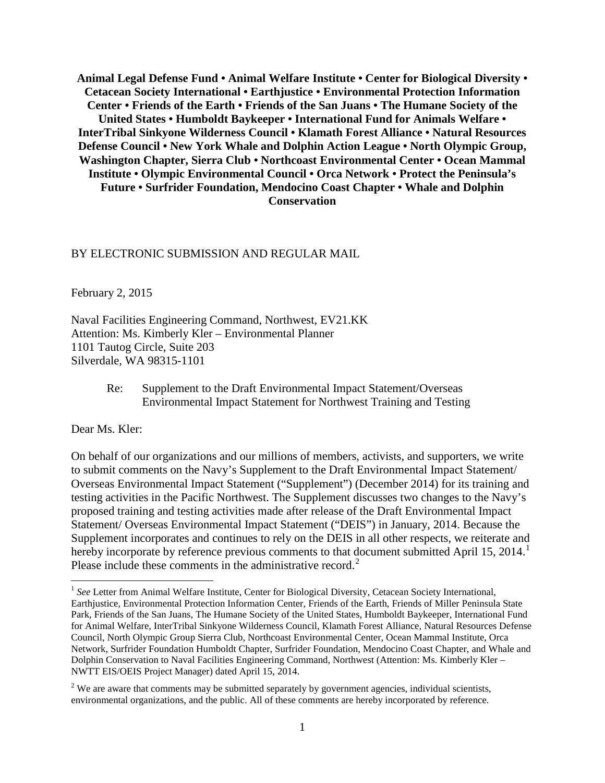**Animal Legal Defense Fund • Animal Welfare Institute • Center for Biological Diversity • Cetacean Society International • Earthjustice • Environmental Protection Information Center • Friends of the Earth • Friends of the San Juans • The Humane Society of the United States • Humboldt Baykeeper • International Fund for Animals Welfare • InterTribal Sinkyone Wilderness Council • Klamath Forest Alliance • Natural Resources Defense Council • New York Whale and Dolphin Action League • North Olympic Group, Washington Chapter, Sierra Club • Northcoast Environmental Center • Ocean Mammal Institute • Olympic Environmental Council • Orca Network • Protect the Peninsula's Future • Surfrider Foundation, Mendocino Coast Chapter • Whale and Dolphin Conservation**

#### BY ELECTRONIC SUBMISSION AND REGULAR MAIL

February 2, 2015

Naval Facilities Engineering Command, Northwest, EV21.KK Attention: Ms. Kimberly Kler – Environmental Planner 1101 Tautog Circle, Suite 203 Silverdale, WA 98315-1101

> Re: Supplement to the Draft Environmental Impact Statement/Overseas Environmental Impact Statement for Northwest Training and Testing

Dear Ms. Kler:

On behalf of our organizations and our millions of members, activists, and supporters, we write to submit comments on the Navy's Supplement to the Draft Environmental Impact Statement/ Overseas Environmental Impact Statement ("Supplement") (December 2014) for its training and testing activities in the Pacific Northwest. The Supplement discusses two changes to the Navy's proposed training and testing activities made after release of the Draft Environmental Impact Statement/ Overseas Environmental Impact Statement ("DEIS") in January, 2014. Because the Supplement incorporates and continues to rely on the DEIS in all other respects, we reiterate and hereby incorporate by reference previous comments to that document submitted April [1](#page-0-0)5, 2014.<sup>1</sup> Please include these comments in the administrative record.<sup>[2](#page-0-1)</sup>

<span id="page-0-0"></span><sup>&</sup>lt;sup>1</sup> See Letter from Animal Welfare Institute, Center for Biological Diversity, Cetacean Society International, Earthjustice, Environmental Protection Information Center, Friends of the Earth, Friends of Miller Peninsula State Park, Friends of the San Juans, The Humane Society of the United States, Humboldt Baykeeper, International Fund for Animal Welfare, InterTribal Sinkyone Wilderness Council, Klamath Forest Alliance, Natural Resources Defense Council, North Olympic Group Sierra Club, Northcoast Environmental Center, Ocean Mammal Institute, Orca Network, Surfrider Foundation Humboldt Chapter, Surfrider Foundation, Mendocino Coast Chapter, and Whale and Dolphin Conservation to Naval Facilities Engineering Command, Northwest (Attention: Ms. Kimberly Kler – NWTT EIS/OEIS Project Manager) dated April 15, 2014.

<span id="page-0-1"></span> $2$  We are aware that comments may be submitted separately by government agencies, individual scientists, environmental organizations, and the public. All of these comments are hereby incorporated by reference.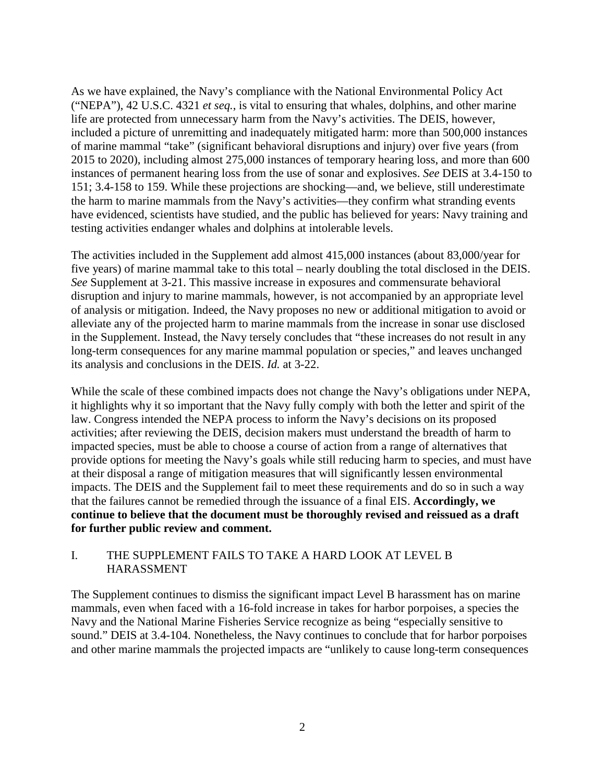As we have explained, the Navy's compliance with the National Environmental Policy Act ("NEPA"), 42 U.S.C. 4321 *et seq.*, is vital to ensuring that whales, dolphins, and other marine life are protected from unnecessary harm from the Navy's activities. The DEIS, however, included a picture of unremitting and inadequately mitigated harm: more than 500,000 instances of marine mammal "take" (significant behavioral disruptions and injury) over five years (from 2015 to 2020), including almost 275,000 instances of temporary hearing loss, and more than 600 instances of permanent hearing loss from the use of sonar and explosives. *See* DEIS at 3.4-150 to 151; 3.4-158 to 159. While these projections are shocking—and, we believe, still underestimate the harm to marine mammals from the Navy's activities—they confirm what stranding events have evidenced, scientists have studied, and the public has believed for years: Navy training and testing activities endanger whales and dolphins at intolerable levels.

The activities included in the Supplement add almost 415,000 instances (about 83,000/year for five years) of marine mammal take to this total – nearly doubling the total disclosed in the DEIS. *See* Supplement at 3-21. This massive increase in exposures and commensurate behavioral disruption and injury to marine mammals, however, is not accompanied by an appropriate level of analysis or mitigation. Indeed, the Navy proposes no new or additional mitigation to avoid or alleviate any of the projected harm to marine mammals from the increase in sonar use disclosed in the Supplement. Instead, the Navy tersely concludes that "these increases do not result in any long-term consequences for any marine mammal population or species," and leaves unchanged its analysis and conclusions in the DEIS. *Id.* at 3-22.

While the scale of these combined impacts does not change the Navy's obligations under NEPA, it highlights why it so important that the Navy fully comply with both the letter and spirit of the law. Congress intended the NEPA process to inform the Navy's decisions on its proposed activities; after reviewing the DEIS, decision makers must understand the breadth of harm to impacted species, must be able to choose a course of action from a range of alternatives that provide options for meeting the Navy's goals while still reducing harm to species, and must have at their disposal a range of mitigation measures that will significantly lessen environmental impacts. The DEIS and the Supplement fail to meet these requirements and do so in such a way that the failures cannot be remedied through the issuance of a final EIS. **Accordingly, we continue to believe that the document must be thoroughly revised and reissued as a draft for further public review and comment.**

# I. THE SUPPLEMENT FAILS TO TAKE A HARD LOOK AT LEVEL B HARASSMENT

The Supplement continues to dismiss the significant impact Level B harassment has on marine mammals, even when faced with a 16-fold increase in takes for harbor porpoises, a species the Navy and the National Marine Fisheries Service recognize as being "especially sensitive to sound." DEIS at 3.4-104. Nonetheless, the Navy continues to conclude that for harbor porpoises and other marine mammals the projected impacts are "unlikely to cause long-term consequences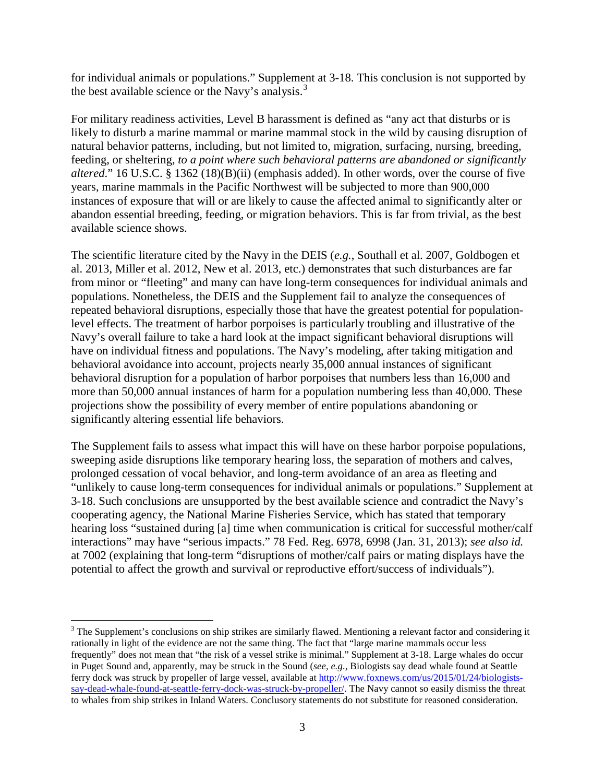for individual animals or populations." Supplement at 3-18. This conclusion is not supported by the best available science or the Navy's analysis. $3$ 

For military readiness activities, Level B harassment is defined as "any act that disturbs or is likely to disturb a marine mammal or marine mammal stock in the wild by causing disruption of natural behavior patterns, including, but not limited to, migration, surfacing, nursing, breeding, feeding, or sheltering, *to a point where such behavioral patterns are abandoned or significantly altered*." 16 U.S.C. § 1362 (18)(B)(ii) (emphasis added). In other words, over the course of five years, marine mammals in the Pacific Northwest will be subjected to more than 900,000 instances of exposure that will or are likely to cause the affected animal to significantly alter or abandon essential breeding, feeding, or migration behaviors. This is far from trivial, as the best available science shows.

The scientific literature cited by the Navy in the DEIS (*e.g.*, Southall et al. 2007, Goldbogen et al. 2013, Miller et al. 2012, New et al. 2013, etc.) demonstrates that such disturbances are far from minor or "fleeting" and many can have long-term consequences for individual animals and populations. Nonetheless, the DEIS and the Supplement fail to analyze the consequences of repeated behavioral disruptions, especially those that have the greatest potential for populationlevel effects. The treatment of harbor porpoises is particularly troubling and illustrative of the Navy's overall failure to take a hard look at the impact significant behavioral disruptions will have on individual fitness and populations. The Navy's modeling, after taking mitigation and behavioral avoidance into account, projects nearly 35,000 annual instances of significant behavioral disruption for a population of harbor porpoises that numbers less than 16,000 and more than 50,000 annual instances of harm for a population numbering less than 40,000. These projections show the possibility of every member of entire populations abandoning or significantly altering essential life behaviors.

The Supplement fails to assess what impact this will have on these harbor porpoise populations, sweeping aside disruptions like temporary hearing loss, the separation of mothers and calves, prolonged cessation of vocal behavior, and long-term avoidance of an area as fleeting and "unlikely to cause long-term consequences for individual animals or populations." Supplement at 3-18. Such conclusions are unsupported by the best available science and contradict the Navy's cooperating agency, the National Marine Fisheries Service, which has stated that temporary hearing loss "sustained during [a] time when communication is critical for successful mother/calf interactions" may have "serious impacts." 78 Fed. Reg. 6978, 6998 (Jan. 31, 2013); *see also id.* at 7002 (explaining that long-term "disruptions of mother/calf pairs or mating displays have the potential to affect the growth and survival or reproductive effort/success of individuals").

<span id="page-2-0"></span><sup>&</sup>lt;sup>3</sup> The Supplement's conclusions on ship strikes are similarly flawed. Mentioning a relevant factor and considering it rationally in light of the evidence are not the same thing. The fact that "large marine mammals occur less frequently" does not mean that "the risk of a vessel strike is minimal." Supplement at 3-18. Large whales do occur in Puget Sound and, apparently, may be struck in the Sound (*see*, *e.g.*, Biologists say dead whale found at Seattle ferry dock was struck by propeller of large vessel, available at [http://www.foxnews.com/us/2015/01/24/biologists](http://www.foxnews.com/us/2015/01/24/biologists-say-dead-whale-found-at-seattle-ferry-dock-was-struck-by-propeller/)[say-dead-whale-found-at-seattle-ferry-dock-was-struck-by-propeller/.](http://www.foxnews.com/us/2015/01/24/biologists-say-dead-whale-found-at-seattle-ferry-dock-was-struck-by-propeller/) The Navy cannot so easily dismiss the threat to whales from ship strikes in Inland Waters. Conclusory statements do not substitute for reasoned consideration.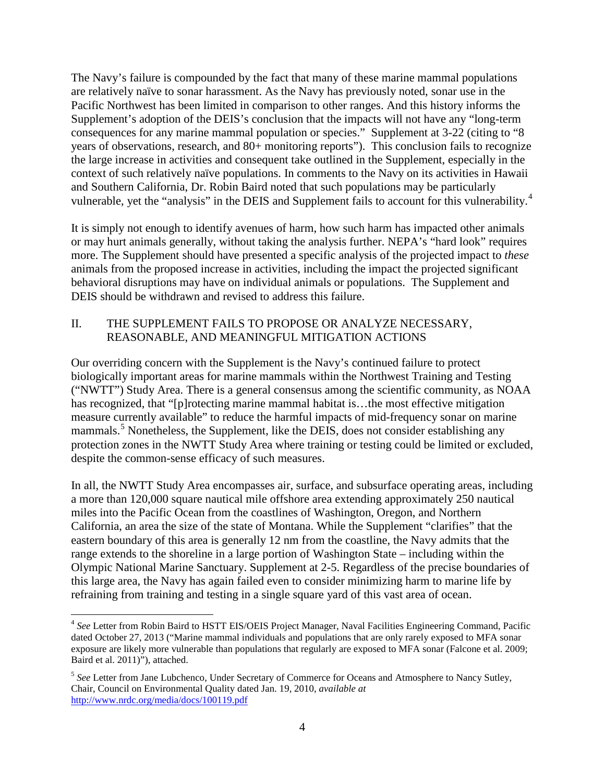The Navy's failure is compounded by the fact that many of these marine mammal populations are relatively naïve to sonar harassment. As the Navy has previously noted, sonar use in the Pacific Northwest has been limited in comparison to other ranges. And this history informs the Supplement's adoption of the DEIS's conclusion that the impacts will not have any "long-term consequences for any marine mammal population or species." Supplement at 3-22 (citing to "8 years of observations, research, and 80+ monitoring reports"). This conclusion fails to recognize the large increase in activities and consequent take outlined in the Supplement, especially in the context of such relatively naïve populations. In comments to the Navy on its activities in Hawaii and Southern California, Dr. Robin Baird noted that such populations may be particularly vulnerable, yet the "analysis" in the DEIS and Supplement fails to account for this vulnerability.<sup>[4](#page-3-0)</sup>

It is simply not enough to identify avenues of harm, how such harm has impacted other animals or may hurt animals generally, without taking the analysis further. NEPA's "hard look" requires more. The Supplement should have presented a specific analysis of the projected impact to *these* animals from the proposed increase in activities, including the impact the projected significant behavioral disruptions may have on individual animals or populations. The Supplement and DEIS should be withdrawn and revised to address this failure.

# II. THE SUPPLEMENT FAILS TO PROPOSE OR ANALYZE NECESSARY, REASONABLE, AND MEANINGFUL MITIGATION ACTIONS

Our overriding concern with the Supplement is the Navy's continued failure to protect biologically important areas for marine mammals within the Northwest Training and Testing ("NWTT") Study Area. There is a general consensus among the scientific community, as NOAA has recognized, that "[p]rotecting marine mammal habitat is…the most effective mitigation measure currently available" to reduce the harmful impacts of mid-frequency sonar on marine mammals.<sup>[5](#page-3-1)</sup> Nonetheless, the Supplement, like the DEIS, does not consider establishing any protection zones in the NWTT Study Area where training or testing could be limited or excluded, despite the common-sense efficacy of such measures.

In all, the NWTT Study Area encompasses air, surface, and subsurface operating areas, including a more than 120,000 square nautical mile offshore area extending approximately 250 nautical miles into the Pacific Ocean from the coastlines of Washington, Oregon, and Northern California, an area the size of the state of Montana. While the Supplement "clarifies" that the eastern boundary of this area is generally 12 nm from the coastline, the Navy admits that the range extends to the shoreline in a large portion of Washington State – including within the Olympic National Marine Sanctuary. Supplement at 2-5. Regardless of the precise boundaries of this large area, the Navy has again failed even to consider minimizing harm to marine life by refraining from training and testing in a single square yard of this vast area of ocean.

<span id="page-3-0"></span> <sup>4</sup> *See* Letter from Robin Baird to HSTT EIS/OEIS Project Manager, Naval Facilities Engineering Command, Pacific dated October 27, 2013 ("Marine mammal individuals and populations that are only rarely exposed to MFA sonar exposure are likely more vulnerable than populations that regularly are exposed to MFA sonar (Falcone et al. 2009; Baird et al. 2011)"), attached.

<span id="page-3-1"></span><sup>5</sup> *See* Letter from Jane Lubchenco, Under Secretary of Commerce for Oceans and Atmosphere to Nancy Sutley, Chair, Council on Environmental Quality dated Jan. 19, 2010, *available at* <http://www.nrdc.org/media/docs/100119.pdf>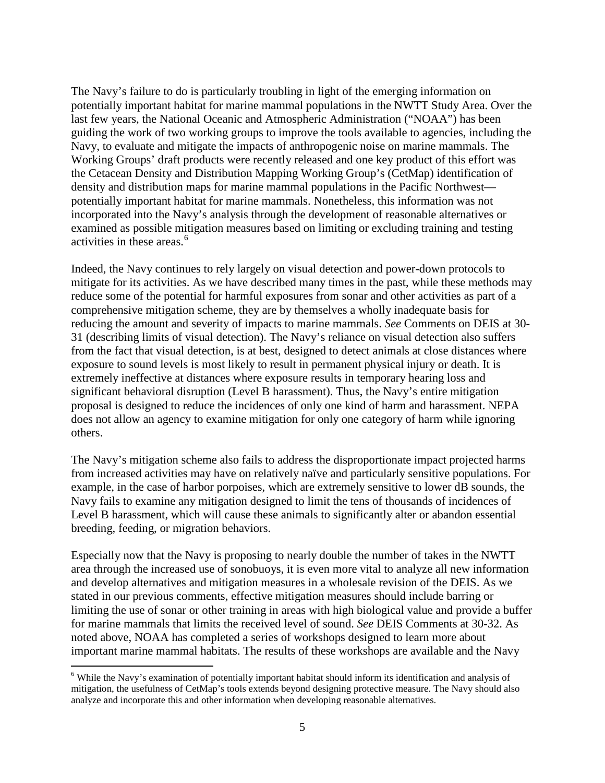The Navy's failure to do is particularly troubling in light of the emerging information on potentially important habitat for marine mammal populations in the NWTT Study Area. Over the last few years, the National Oceanic and Atmospheric Administration ("NOAA") has been guiding the work of two working groups to improve the tools available to agencies, including the Navy, to evaluate and mitigate the impacts of anthropogenic noise on marine mammals. The Working Groups' draft products were recently released and one key product of this effort was the Cetacean Density and Distribution Mapping Working Group's (CetMap) identification of density and distribution maps for marine mammal populations in the Pacific Northwest potentially important habitat for marine mammals. Nonetheless, this information was not incorporated into the Navy's analysis through the development of reasonable alternatives or examined as possible mitigation measures based on limiting or excluding training and testing activities in these areas.[6](#page-4-0)

Indeed, the Navy continues to rely largely on visual detection and power-down protocols to mitigate for its activities. As we have described many times in the past, while these methods may reduce some of the potential for harmful exposures from sonar and other activities as part of a comprehensive mitigation scheme, they are by themselves a wholly inadequate basis for reducing the amount and severity of impacts to marine mammals. *See* Comments on DEIS at 30- 31 (describing limits of visual detection). The Navy's reliance on visual detection also suffers from the fact that visual detection, is at best, designed to detect animals at close distances where exposure to sound levels is most likely to result in permanent physical injury or death. It is extremely ineffective at distances where exposure results in temporary hearing loss and significant behavioral disruption (Level B harassment). Thus, the Navy's entire mitigation proposal is designed to reduce the incidences of only one kind of harm and harassment. NEPA does not allow an agency to examine mitigation for only one category of harm while ignoring others.

The Navy's mitigation scheme also fails to address the disproportionate impact projected harms from increased activities may have on relatively naïve and particularly sensitive populations. For example, in the case of harbor porpoises, which are extremely sensitive to lower dB sounds, the Navy fails to examine any mitigation designed to limit the tens of thousands of incidences of Level B harassment, which will cause these animals to significantly alter or abandon essential breeding, feeding, or migration behaviors.

Especially now that the Navy is proposing to nearly double the number of takes in the NWTT area through the increased use of sonobuoys, it is even more vital to analyze all new information and develop alternatives and mitigation measures in a wholesale revision of the DEIS. As we stated in our previous comments, effective mitigation measures should include barring or limiting the use of sonar or other training in areas with high biological value and provide a buffer for marine mammals that limits the received level of sound. *See* DEIS Comments at 30-32. As noted above, NOAA has completed a series of workshops designed to learn more about important marine mammal habitats. The results of these workshops are available and the Navy

<span id="page-4-0"></span><sup>&</sup>lt;sup>6</sup> While the Navy's examination of potentially important habitat should inform its identification and analysis of mitigation, the usefulness of CetMap's tools extends beyond designing protective measure. The Navy should also analyze and incorporate this and other information when developing reasonable alternatives.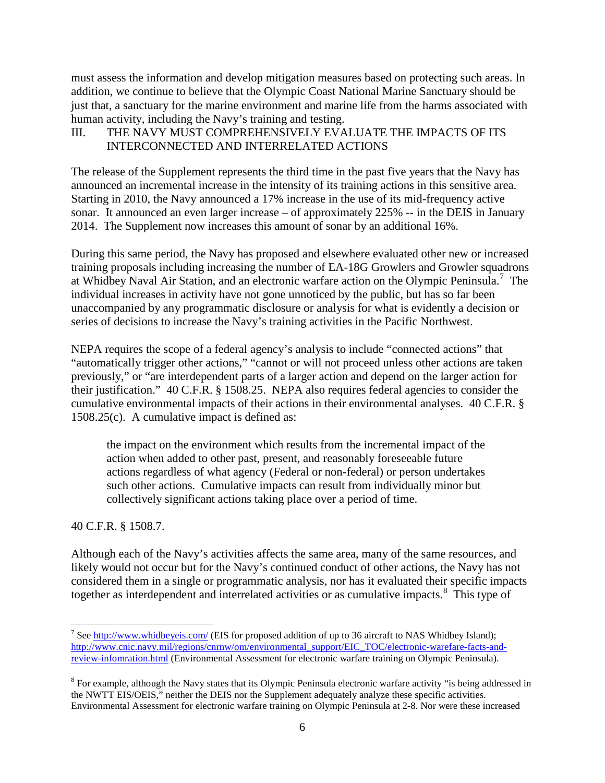must assess the information and develop mitigation measures based on protecting such areas. In addition, we continue to believe that the Olympic Coast National Marine Sanctuary should be just that, a sanctuary for the marine environment and marine life from the harms associated with human activity, including the Navy's training and testing.

# III. THE NAVY MUST COMPREHENSIVELY EVALUATE THE IMPACTS OF ITS INTERCONNECTED AND INTERRELATED ACTIONS

The release of the Supplement represents the third time in the past five years that the Navy has announced an incremental increase in the intensity of its training actions in this sensitive area. Starting in 2010, the Navy announced a 17% increase in the use of its mid-frequency active sonar. It announced an even larger increase – of approximately 225% -- in the DEIS in January 2014. The Supplement now increases this amount of sonar by an additional 16%.

During this same period, the Navy has proposed and elsewhere evaluated other new or increased training proposals including increasing the number of EA-18G Growlers and Growler squadrons at Whidbey Naval Air Station, and an electronic warfare action on the Olympic Peninsula.<sup>[7](#page-5-0)</sup> The individual increases in activity have not gone unnoticed by the public, but has so far been unaccompanied by any programmatic disclosure or analysis for what is evidently a decision or series of decisions to increase the Navy's training activities in the Pacific Northwest.

NEPA requires the scope of a federal agency's analysis to include "connected actions" that "automatically trigger other actions," "cannot or will not proceed unless other actions are taken previously," or "are interdependent parts of a larger action and depend on the larger action for their justification." 40 C.F.R. § 1508.25. NEPA also requires federal agencies to consider the cumulative environmental impacts of their actions in their environmental analyses. 40 C.F.R. § 1508.25(c). A cumulative impact is defined as:

the impact on the environment which results from the incremental impact of the action when added to other past, present, and reasonably foreseeable future actions regardless of what agency (Federal or non-federal) or person undertakes such other actions. Cumulative impacts can result from individually minor but collectively significant actions taking place over a period of time.

40 C.F.R. § 1508.7.

Although each of the Navy's activities affects the same area, many of the same resources, and likely would not occur but for the Navy's continued conduct of other actions, the Navy has not considered them in a single or programmatic analysis, nor has it evaluated their specific impacts together as interdependent and interrelated activities or as cumulative impacts.<sup>[8](#page-5-1)</sup> This type of

<span id="page-5-0"></span><sup>&</sup>lt;sup>7</sup> Se[e http://www.whidbeyeis.com/](http://www.whidbeyeis.com/) (EIS for proposed addition of up to 36 aircraft to NAS Whidbey Island); [http://www.cnic.navy.mil/regions/cnrnw/om/environmental\\_support/EIC\\_TOC/electronic-warefare-facts-and](http://www.cnic.navy.mil/regions/cnrnw/om/environmental_support/EIC_TOC/electronic-warefare-facts-and-review-infomration.html)[review-infomration.html](http://www.cnic.navy.mil/regions/cnrnw/om/environmental_support/EIC_TOC/electronic-warefare-facts-and-review-infomration.html) (Environmental Assessment for electronic warfare training on Olympic Peninsula).

<span id="page-5-1"></span><sup>&</sup>lt;sup>8</sup> For example, although the Navy states that its Olympic Peninsula electronic warfare activity "is being addressed in the NWTT EIS/OEIS," neither the DEIS nor the Supplement adequately analyze these specific activities. Environmental Assessment for electronic warfare training on Olympic Peninsula at 2-8. Nor were these increased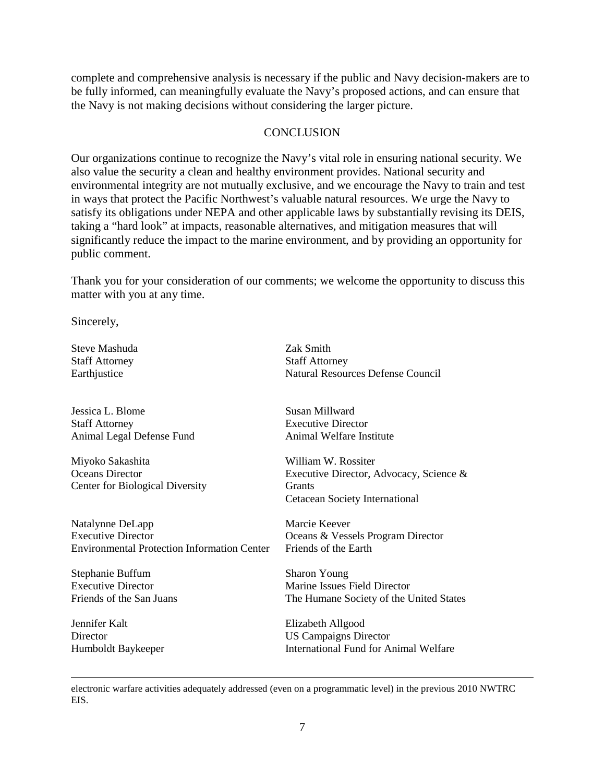complete and comprehensive analysis is necessary if the public and Navy decision-makers are to be fully informed, can meaningfully evaluate the Navy's proposed actions, and can ensure that the Navy is not making decisions without considering the larger picture.

### **CONCLUSION**

Our organizations continue to recognize the Navy's vital role in ensuring national security. We also value the security a clean and healthy environment provides. National security and environmental integrity are not mutually exclusive, and we encourage the Navy to train and test in ways that protect the Pacific Northwest's valuable natural resources. We urge the Navy to satisfy its obligations under NEPA and other applicable laws by substantially revising its DEIS, taking a "hard look" at impacts, reasonable alternatives, and mitigation measures that will significantly reduce the impact to the marine environment, and by providing an opportunity for public comment.

Thank you for your consideration of our comments; we welcome the opportunity to discuss this matter with you at any time.

Sincerely,

Steve Mashuda Staff Attorney Earthjustice

Jessica L. Blome Staff Attorney Animal Legal Defense Fund

Miyoko Sakashita Oceans Director Center for Biological Diversity

Natalynne DeLapp Executive Director Environmental Protection Information Center

Stephanie Buffum Executive Director Friends of the San Juans

Jennifer Kalt **Director** Humboldt Baykeeper

 $\overline{a}$ 

Zak Smith Staff Attorney Natural Resources Defense Council

Susan Millward Executive Director Animal Welfare Institute

William W. Rossiter Executive Director, Advocacy, Science & **Grants** Cetacean Society International

Marcie Keever Oceans & Vessels Program Director Friends of the Earth

Sharon Young Marine Issues Field Director The Humane Society of the United States

Elizabeth Allgood US Campaigns Director International Fund for Animal Welfare

electronic warfare activities adequately addressed (even on a programmatic level) in the previous 2010 NWTRC EIS.